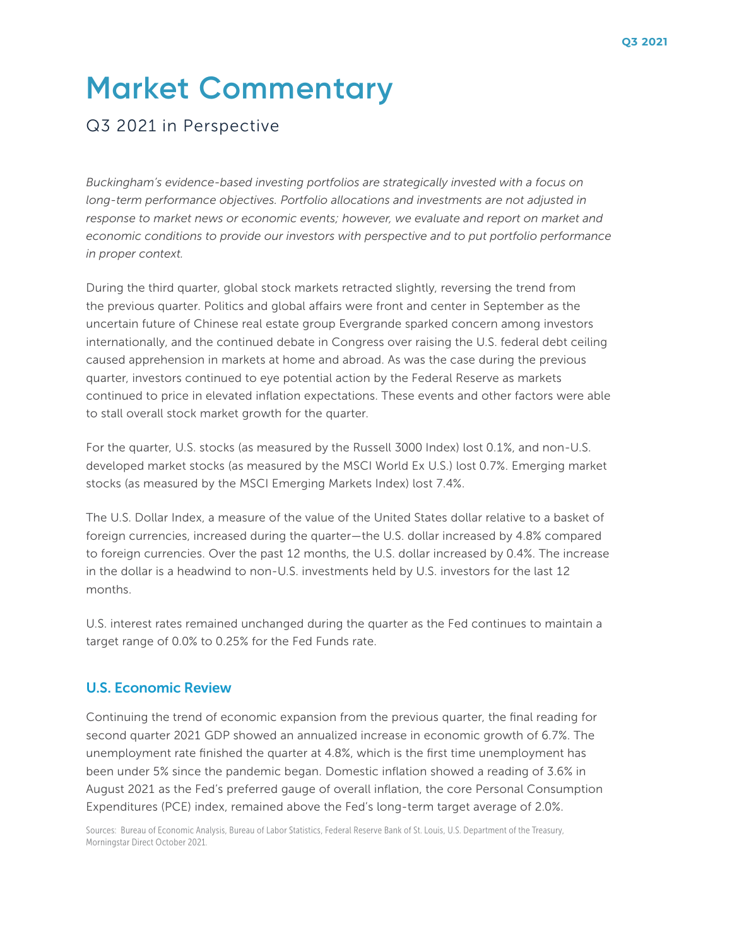# **Market Commentary**

## Q3 2021 in Perspective

*Buckingham's evidence-based investing portfolios are strategically invested with a focus on long-term performance objectives. Portfolio allocations and investments are not adjusted in*  response to market news or economic events; however, we evaluate and report on market and *economic conditions to provide our investors with perspective and to put portfolio performance in proper context.*

During the third quarter, global stock markets retracted slightly, reversing the trend from the previous quarter. Politics and global affairs were front and center in September as the uncertain future of Chinese real estate group Evergrande sparked concern among investors internationally, and the continued debate in Congress over raising the U.S. federal debt ceiling caused apprehension in markets at home and abroad. As was the case during the previous quarter, investors continued to eye potential action by the Federal Reserve as markets continued to price in elevated inflation expectations. These events and other factors were able to stall overall stock market growth for the quarter.

For the quarter, U.S. stocks (as measured by the Russell 3000 Index) lost 0.1%, and non-U.S. developed market stocks (as measured by the MSCI World Ex U.S.) lost 0.7%. Emerging market stocks (as measured by the MSCI Emerging Markets Index) lost 7.4%.

The U.S. Dollar Index, a measure of the value of the United States dollar relative to a basket of foreign currencies, increased during the quarter—the U.S. dollar increased by 4.8% compared to foreign currencies. Over the past 12 months, the U.S. dollar increased by 0.4%. The increase in the dollar is a headwind to non-U.S. investments held by U.S. investors for the last 12 months.

U.S. interest rates remained unchanged during the quarter as the Fed continues to maintain a target range of 0.0% to 0.25% for the Fed Funds rate.

#### U.S. Economic Review

Continuing the trend of economic expansion from the previous quarter, the final reading for second quarter 2021 GDP showed an annualized increase in economic growth of 6.7%. The unemployment rate finished the quarter at 4.8%, which is the first time unemployment has been under 5% since the pandemic began. Domestic inflation showed a reading of 3.6% in August 2021 as the Fed's preferred gauge of overall inflation, the core Personal Consumption Expenditures (PCE) index, remained above the Fed's long-term target average of 2.0%.

Sources: Bureau of Economic Analysis, Bureau of Labor Statistics, Federal Reserve Bank of St. Louis, U.S. Department of the Treasury, Morningstar Direct October 2021.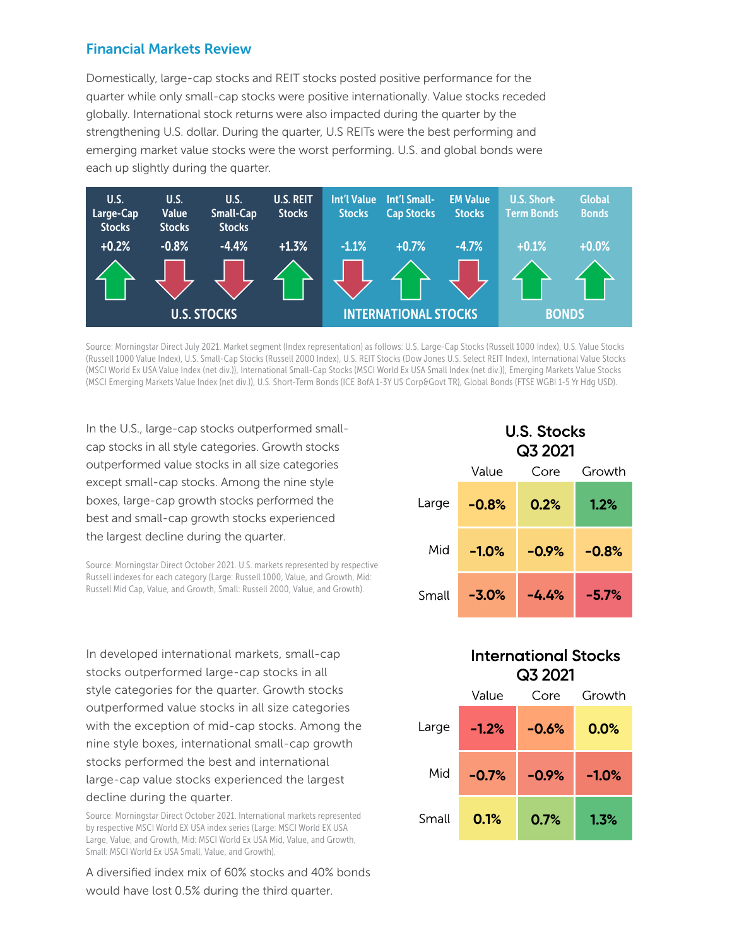#### Financial Markets Review

Domestically, large-cap stocks and REIT stocks posted positive performance for the quarter while only small-cap stocks were positive internationally. Value stocks receded globally. International stock returns were also impacted during the quarter by the strengthening U.S. dollar. During the quarter, U.S REITs were the best performing and emerging market value stocks were the worst performing. U.S. and global bonds were each up slightly during the quarter.



Source: Morningstar Direct July 2021. Market segment (Index representation) as follows: U.S. Large-Cap Stocks (Russell 1000 Index), U.S. Value Stocks (Russell 1000 Value Index), U.S. Small-Cap Stocks (Russell 2000 Index), U.S. REIT Stocks (Dow Jones U.S. Select REIT Index), International Value Stocks (MSCI World Ex USA Value Index (net div.)), International Small-Cap Stocks (MSCI World Ex USA Small Index (net div.)), Emerging Markets Value Stocks (MSCI Emerging Markets Value Index (net div.)), U.S. Short-Term Bonds (ICE BofA 1-3Y US Corp&Govt TR), Global Bonds (FTSE WGBI 1-5 Yr Hdg USD).

In the U.S., large-cap stocks outperformed smallcap stocks in all style categories. Growth stocks outperformed value stocks in all size categories except small-cap stocks. Among the nine style boxes, large-cap growth stocks performed the best and small-cap growth stocks experienced the largest decline during the quarter.

Source: Morningstar Direct October 2021. U.S. markets represented by respective Russell indexes for each category (Large: Russell 1000, Value, and Growth, Mid: Russell Mid Cap, Value, and Growth, Small: Russell 2000, Value, and Growth).

In developed international markets, small-cap stocks outperformed large-cap stocks in all style categories for the quarter. Growth stocks outperformed value stocks in all size categories with the exception of mid-cap stocks. Among the nine style boxes, international small-cap growth stocks performed the best and international large-cap value stocks experienced the largest decline during the quarter.

Source: Morningstar Direct October 2021. International markets represented by respective MSCI World EX USA index series (Large: MSCI World EX USA Large, Value, and Growth, Mid: MSCI World Ex USA Mid, Value, and Growth, Small: MSCI World Ex USA Small, Value, and Growth).

A diversified index mix of 60% stocks and 40% bonds would have lost 0.5% during the third quarter.

|       | <b>U.S. Stocks</b><br>Q3 2021 |         |         |
|-------|-------------------------------|---------|---------|
|       | Value                         | Core    | Growth  |
| Large | $-0.8%$                       | 0.2%    | 1.2%    |
| Mid   | $-1.0%$                       | $-0.9%$ | $-0.8%$ |
| Small | $-3.0%$                       | -4.4%   | $-5.7%$ |

### **International Stocks Q3 2021**

|       | Value   | Core    | Growth  |
|-------|---------|---------|---------|
| _arge | $-1.2%$ | $-0.6%$ | 0.0%    |
| Mid   | $-0.7%$ | $-0.9%$ | $-1.0%$ |
| Small | 0.1%    | 0.7%    | 1.3%    |